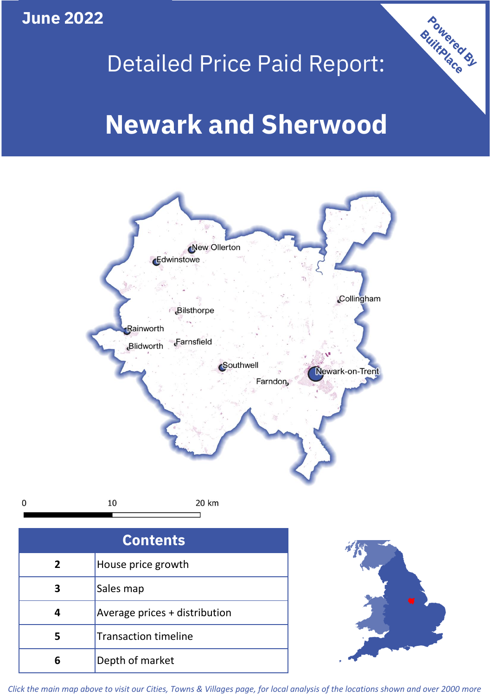**June 2022**

 $\mathbf 0$ 

# Detailed Price Paid Report:

# **Newark and Sherwood**



| <b>Contents</b> |                               |  |  |
|-----------------|-------------------------------|--|--|
| $\overline{2}$  | House price growth            |  |  |
| 3               | Sales map                     |  |  |
|                 | Average prices + distribution |  |  |
| 5               | <b>Transaction timeline</b>   |  |  |
|                 | Depth of market               |  |  |



**Powered By** 

*Click the main map above to visit our Cities, Towns & Villages page, for local analysis of the locations shown and over 2000 more*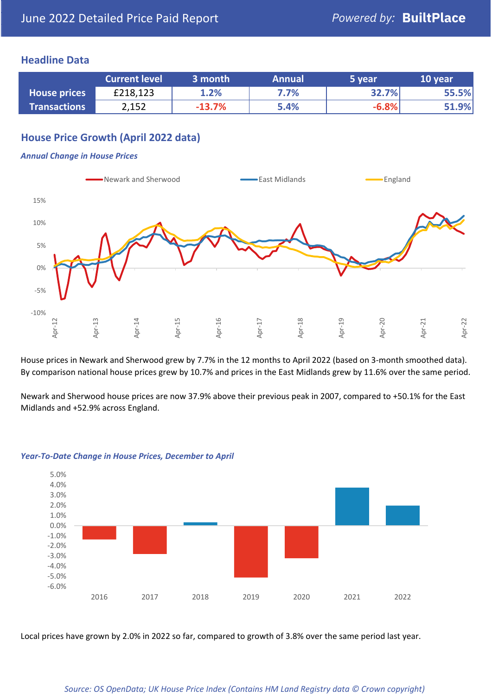## **Headline Data**

|                     | <b>Current level</b> | 3 month  | <b>Annual</b> | 5 year  | 10 year |
|---------------------|----------------------|----------|---------------|---------|---------|
| <b>House prices</b> | £218,123             | 1.2%     | 7.7%          | 32.7%   | 55.5%   |
| <b>Transactions</b> | 2,152                | $-13.7%$ | 5.4%          | $-6.8%$ | 51.9%   |

# **House Price Growth (April 2022 data)**

#### *Annual Change in House Prices*



House prices in Newark and Sherwood grew by 7.7% in the 12 months to April 2022 (based on 3-month smoothed data). By comparison national house prices grew by 10.7% and prices in the East Midlands grew by 11.6% over the same period.

Newark and Sherwood house prices are now 37.9% above their previous peak in 2007, compared to +50.1% for the East Midlands and +52.9% across England.



#### *Year-To-Date Change in House Prices, December to April*

Local prices have grown by 2.0% in 2022 so far, compared to growth of 3.8% over the same period last year.

#### *Source: OS OpenData; UK House Price Index (Contains HM Land Registry data © Crown copyright)*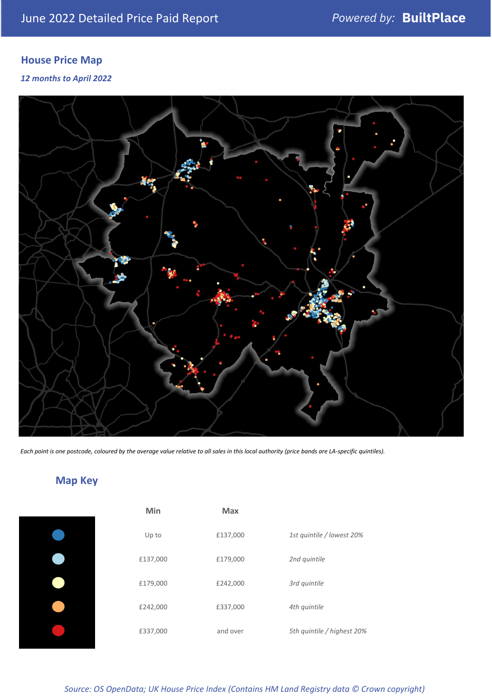# **House Price Map**

*12 months to April 2022*



*Each point is one postcode, coloured by the average value relative to all sales in this local authority (price bands are LA-specific quintiles).*

**Map Key**

| Min      | <b>Max</b> |                            |
|----------|------------|----------------------------|
| Up to    | £137,000   | 1st quintile / lowest 20%  |
| £137,000 | £179,000   | 2nd quintile               |
| £179,000 | £242,000   | 3rd quintile               |
| £242,000 | £337,000   | 4th quintile               |
| £337,000 | and over   | 5th quintile / highest 20% |

*Source: OS OpenData; UK House Price Index (Contains HM Land Registry data © Crown copyright)*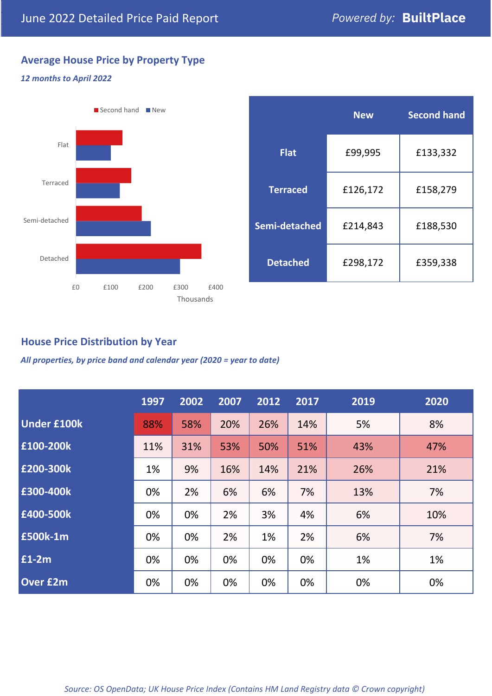# **Average House Price by Property Type**

### *12 months to April 2022*



|                 | <b>New</b> | <b>Second hand</b> |  |  |
|-----------------|------------|--------------------|--|--|
| <b>Flat</b>     | £99,995    | £133,332           |  |  |
| <b>Terraced</b> | £126,172   | £158,279           |  |  |
| Semi-detached   | £214,843   | £188,530           |  |  |
| <b>Detached</b> | £298,172   | £359,338           |  |  |

# **House Price Distribution by Year**

*All properties, by price band and calendar year (2020 = year to date)*

|                    | 1997 | 2002 | 2007 | 2012 | 2017 | 2019 | 2020 |
|--------------------|------|------|------|------|------|------|------|
| <b>Under £100k</b> | 88%  | 58%  | 20%  | 26%  | 14%  | 5%   | 8%   |
| £100-200k          | 11%  | 31%  | 53%  | 50%  | 51%  | 43%  | 47%  |
| E200-300k          | 1%   | 9%   | 16%  | 14%  | 21%  | 26%  | 21%  |
| £300-400k          | 0%   | 2%   | 6%   | 6%   | 7%   | 13%  | 7%   |
| £400-500k          | 0%   | 0%   | 2%   | 3%   | 4%   | 6%   | 10%  |
| <b>£500k-1m</b>    | 0%   | 0%   | 2%   | 1%   | 2%   | 6%   | 7%   |
| £1-2m              | 0%   | 0%   | 0%   | 0%   | 0%   | 1%   | 1%   |
| <b>Over £2m</b>    | 0%   | 0%   | 0%   | 0%   | 0%   | 0%   | 0%   |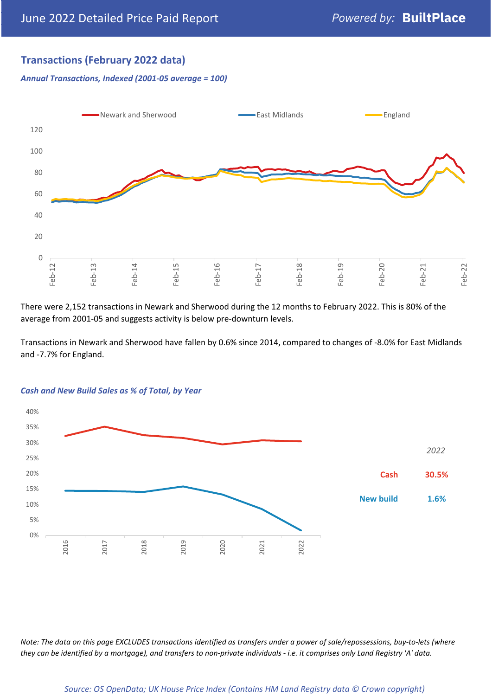# **Transactions (February 2022 data)**

*Annual Transactions, Indexed (2001-05 average = 100)*



There were 2,152 transactions in Newark and Sherwood during the 12 months to February 2022. This is 80% of the average from 2001-05 and suggests activity is below pre-downturn levels.

Transactions in Newark and Sherwood have fallen by 0.6% since 2014, compared to changes of -8.0% for East Midlands and -7.7% for England.



#### *Cash and New Build Sales as % of Total, by Year*

*Note: The data on this page EXCLUDES transactions identified as transfers under a power of sale/repossessions, buy-to-lets (where they can be identified by a mortgage), and transfers to non-private individuals - i.e. it comprises only Land Registry 'A' data.*